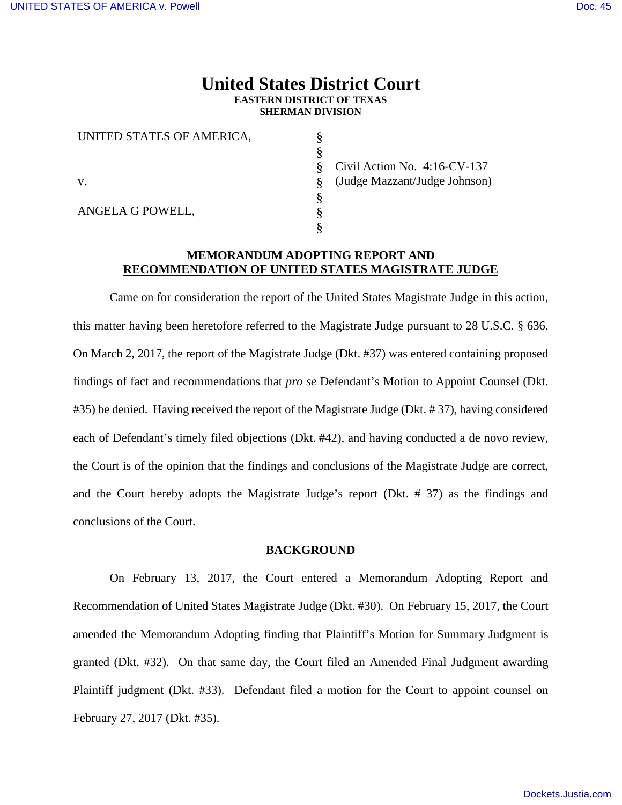## **United States District Court EASTERN DISTRICT OF TEXAS SHERMAN DIVISION**

§ § § § § § §

| UNITED STATES OF AMERICA, |
|---------------------------|
|                           |
| V.                        |
| ANGELA G POWELL,          |

Civil Action No. 4:16-CV-137 (Judge Mazzant/Judge Johnson)

## **MEMORANDUM ADOPTING REPORT AND RECOMMENDATION OF UNITED STATES MAGISTRATE JUDGE**

Came on for consideration the report of the United States Magistrate Judge in this action, this matter having been heretofore referred to the Magistrate Judge pursuant to 28 U.S.C. § 636. On March 2, 2017, the report of the Magistrate Judge (Dkt. #37) was entered containing proposed findings of fact and recommendations that *pro se* Defendant's Motion to Appoint Counsel (Dkt. #35) be denied. Having received the report of the Magistrate Judge (Dkt. # 37), having considered each of Defendant's timely filed objections (Dkt. #42), and having conducted a de novo review, the Court is of the opinion that the findings and conclusions of the Magistrate Judge are correct, and the Court hereby adopts the Magistrate Judge's report (Dkt. # 37) as the findings and conclusions of the Court.

#### **BACKGROUND**

On February 13, 2017, the Court entered a Memorandum Adopting Report and Recommendation of United States Magistrate Judge (Dkt. #30). On February 15, 2017, the Court amended the Memorandum Adopting finding that Plaintiff's Motion for Summary Judgment is granted (Dkt. #32). On that same day, the Court filed an Amended Final Judgment awarding Plaintiff judgment (Dkt. #33). Defendant filed a motion for the Court to appoint counsel on February 27, 2017 (Dkt. #35).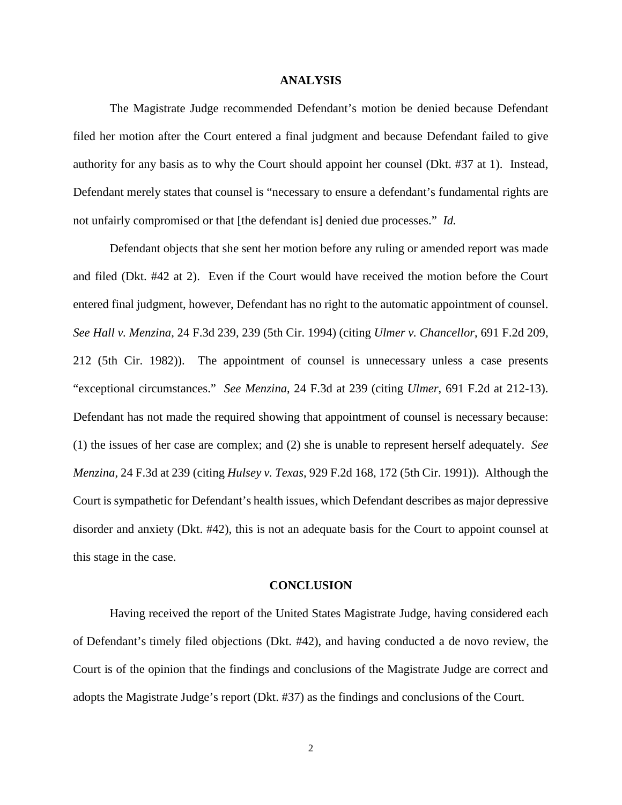### **ANALYSIS**

The Magistrate Judge recommended Defendant's motion be denied because Defendant filed her motion after the Court entered a final judgment and because Defendant failed to give authority for any basis as to why the Court should appoint her counsel (Dkt. #37 at 1). Instead, Defendant merely states that counsel is "necessary to ensure a defendant's fundamental rights are not unfairly compromised or that [the defendant is] denied due processes." *Id.*

Defendant objects that she sent her motion before any ruling or amended report was made and filed (Dkt. #42 at 2). Even if the Court would have received the motion before the Court entered final judgment, however, Defendant has no right to the automatic appointment of counsel. *See Hall v. Menzina*, 24 F.3d 239, 239 (5th Cir. 1994) (citing *Ulmer v. Chancellor*, 691 F.2d 209, 212 (5th Cir. 1982)). The appointment of counsel is unnecessary unless a case presents "exceptional circumstances." *See Menzina*, 24 F.3d at 239 (citing *Ulmer*, 691 F.2d at 212-13). Defendant has not made the required showing that appointment of counsel is necessary because: (1) the issues of her case are complex; and (2) she is unable to represent herself adequately. *See Menzina*, 24 F.3d at 239 (citing *Hulsey v. Texas*, 929 F.2d 168, 172 (5th Cir. 1991)). Although the Court is sympathetic for Defendant's health issues, which Defendant describes as major depressive disorder and anxiety (Dkt. #42), this is not an adequate basis for the Court to appoint counsel at this stage in the case.

#### **CONCLUSION**

Having received the report of the United States Magistrate Judge, having considered each of Defendant's timely filed objections (Dkt. #42), and having conducted a de novo review, the Court is of the opinion that the findings and conclusions of the Magistrate Judge are correct and adopts the Magistrate Judge's report (Dkt. #37) as the findings and conclusions of the Court.